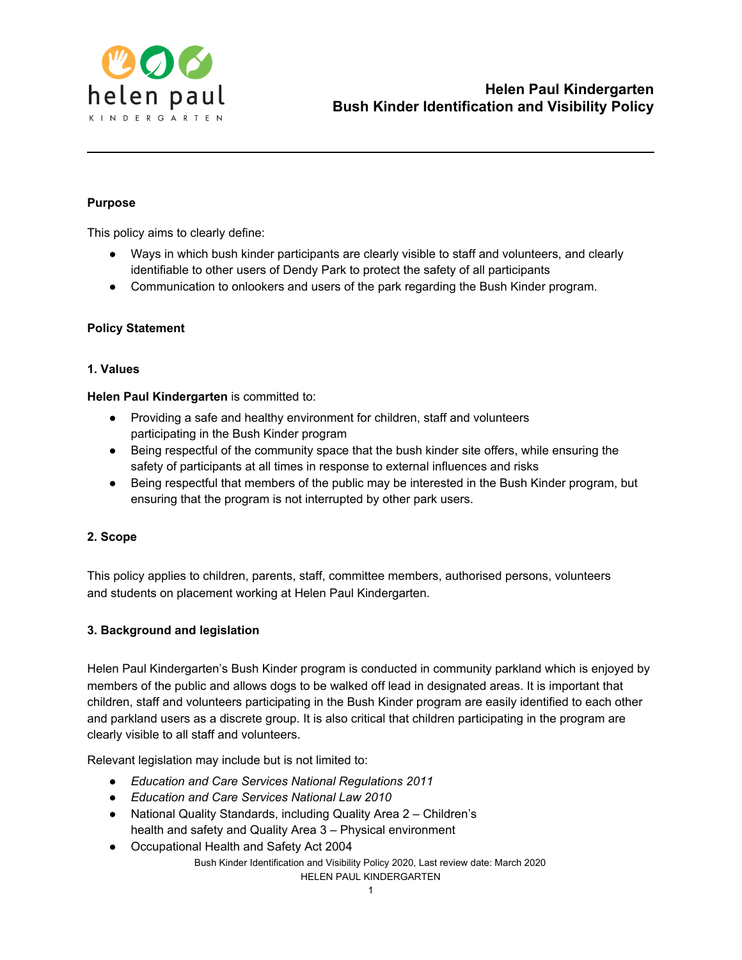

## **Purpose**

This policy aims to clearly define:

- Ways in which bush kinder participants are clearly visible to staff and volunteers, and clearly identifiable to other users of Dendy Park to protect the safety of all participants
- Communication to onlookers and users of the park regarding the Bush Kinder program.

## **Policy Statement**

### **1. Values**

**Helen Paul Kindergarten** is committed to:

- Providing a safe and healthy environment for children, staff and volunteers participating in the Bush Kinder program
- Being respectful of the community space that the bush kinder site offers, while ensuring the safety of participants at all times in response to external influences and risks
- Being respectful that members of the public may be interested in the Bush Kinder program, but ensuring that the program is not interrupted by other park users.

## **2. Scope**

This policy applies to children, parents, staff, committee members, authorised persons, volunteers and students on placement working at Helen Paul Kindergarten.

## **3. Background and legislation**

Helen Paul Kindergarten's Bush Kinder program is conducted in community parkland which is enjoyed by members of the public and allows dogs to be walked off lead in designated areas. It is important that children, staff and volunteers participating in the Bush Kinder program are easily identified to each other and parkland users as a discrete group. It is also critical that children participating in the program are clearly visible to all staff and volunteers.

Relevant legislation may include but is not limited to:

- *● Education and Care Services National Regulations 2011*
- *● Education and Care Services National Law 2010*
- *●* National Quality Standards, including Quality Area 2 Children's health and safety and Quality Area 3 – Physical environment
- *●* Occupational Health and Safety Act 2004 Bush Kinder Identification and Visibility Policy 2020, Last review date: March 2020 HELEN PAUL KINDERGARTEN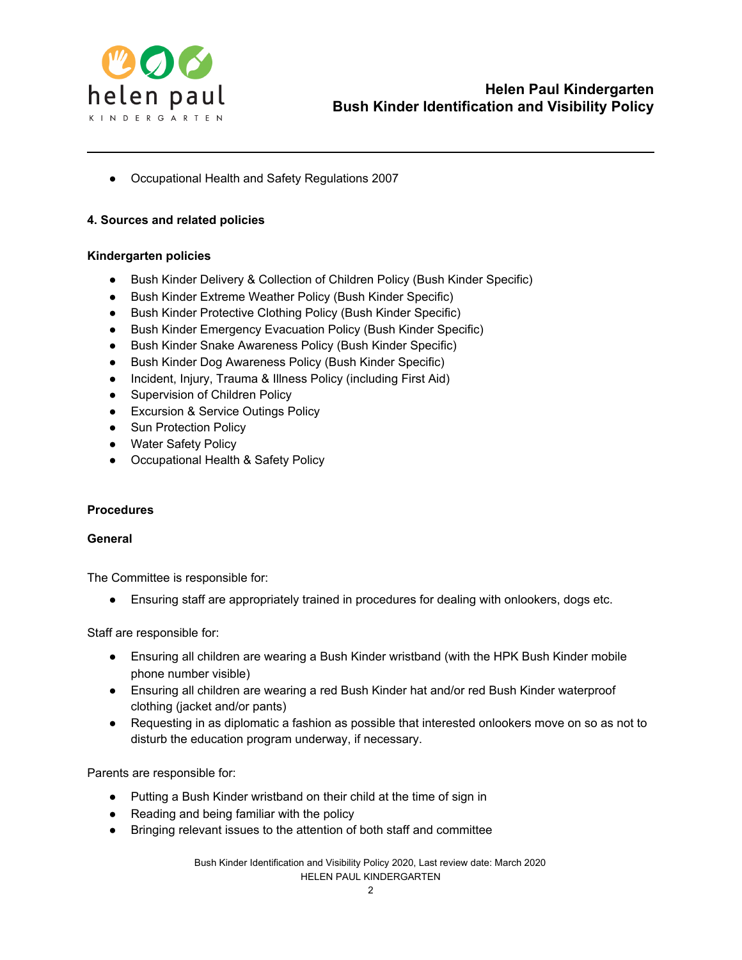

*●* Occupational Health and Safety Regulations 2007

## **4. Sources and related policies**

### **Kindergarten policies**

- Bush Kinder Delivery & Collection of Children Policy (Bush Kinder Specific)
- Bush Kinder Extreme Weather Policy (Bush Kinder Specific)
- Bush Kinder Protective Clothing Policy (Bush Kinder Specific)
- Bush Kinder Emergency Evacuation Policy (Bush Kinder Specific)
- Bush Kinder Snake Awareness Policy (Bush Kinder Specific)
- Bush Kinder Dog Awareness Policy (Bush Kinder Specific)
- Incident, Injury, Trauma & Illness Policy (including First Aid)
- Supervision of Children Policy
- Excursion & Service Outings Policy
- Sun Protection Policy
- Water Safety Policy
- Occupational Health & Safety Policy

## **Procedures**

## **General**

The Committee is responsible for:

● Ensuring staff are appropriately trained in procedures for dealing with onlookers, dogs etc.

Staff are responsible for:

- Ensuring all children are wearing a Bush Kinder wristband (with the HPK Bush Kinder mobile phone number visible)
- Ensuring all children are wearing a red Bush Kinder hat and/or red Bush Kinder waterproof clothing (jacket and/or pants)
- Requesting in as diplomatic a fashion as possible that interested onlookers move on so as not to disturb the education program underway, if necessary.

Parents are responsible for:

- Putting a Bush Kinder wristband on their child at the time of sign in
- Reading and being familiar with the policy
- Bringing relevant issues to the attention of both staff and committee

Bush Kinder Identification and Visibility Policy 2020, Last review date: March 2020 HELEN PAUL KINDERGARTEN